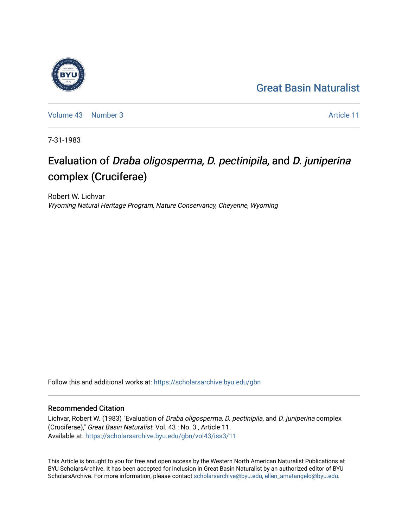## [Great Basin Naturalist](https://scholarsarchive.byu.edu/gbn)

[Volume 43](https://scholarsarchive.byu.edu/gbn/vol43) [Number 3](https://scholarsarchive.byu.edu/gbn/vol43/iss3) Article 11

7-31-1983

# Evaluation of Draba oligosperma, D. pectinipila, and D. juniperina complex (Cruciferae)

Robert W. Lichvar Wyoming Natural Heritage Program, Nature Conservancy, Cheyenne, Wyoming

Follow this and additional works at: [https://scholarsarchive.byu.edu/gbn](https://scholarsarchive.byu.edu/gbn?utm_source=scholarsarchive.byu.edu%2Fgbn%2Fvol43%2Fiss3%2F11&utm_medium=PDF&utm_campaign=PDFCoverPages) 

### Recommended Citation

Lichvar, Robert W. (1983) "Evaluation of Draba oligosperma, D. pectinipila, and D. juniperina complex (Cruciferae)," Great Basin Naturalist: Vol. 43 : No. 3 , Article 11. Available at: [https://scholarsarchive.byu.edu/gbn/vol43/iss3/11](https://scholarsarchive.byu.edu/gbn/vol43/iss3/11?utm_source=scholarsarchive.byu.edu%2Fgbn%2Fvol43%2Fiss3%2F11&utm_medium=PDF&utm_campaign=PDFCoverPages) 

This Article is brought to you for free and open access by the Western North American Naturalist Publications at BYU ScholarsArchive. It has been accepted for inclusion in Great Basin Naturalist by an authorized editor of BYU ScholarsArchive. For more information, please contact [scholarsarchive@byu.edu, ellen\\_amatangelo@byu.edu.](mailto:scholarsarchive@byu.edu,%20ellen_amatangelo@byu.edu)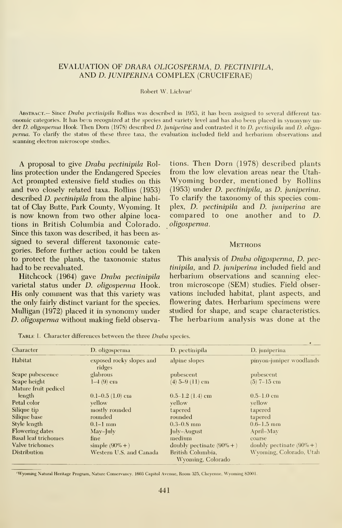#### EVALUATION OF DRABA OLIGOSPERMA, D. PECTINIPILA, AND D. JUNIPERINA COMPLEX (CRUCIFERAE)

#### Robert W. Lichvar'

ABSTRACT.— Since Draba pectinipila Rollins was described in 1953, it has been assigned to several different taxonomic categories. It has been recognized at the species and variety level and has also been placed in synonymy under D. oligosperma Hook. Then Dorn (1978) described D. juniperina and contrasted it to D. pectinipila and D. oligosperma. To clarify the status of these three taxa, the evaluation included field and herbarium observations and scanning electron microscope studies.

A proposal to give Draba pectinipila Rollins protection under the Endangered Species Act prompted extensive field studies on this and two closely related taxa. Rollins (1953) described D. pectinipila from the alpine habitat of Clay Butte, Park County, Wyoming. It is now known from two other alpine loca tions in British Columbia and Colorado. Since this taxon was described, it has been as signed to several different taxonomic categories. Before further action could be taken to protect the plants, the taxonomic status had to be reevaluated.

Hitchcock (1964) gave Draba pectinipila varietal status under D. oligosperma Hook. His only comment was that this variety was the only fairly distinct variant for the species. Mulligan (1972) placed it in synonomy under D. oligosperma without making field observa-

tions. Then Dorn (1978) described plants from the low elevation areas near the Utah-Wyoming border, mentioned by Rollins (1953) under D. pectinipila, as D. juniperina. To clarify the taxonomy of this species complex, D. pectinipila and D. juniperina are compared to one another and to D. oligospenna.

#### **METHODS**

This analysis of Draba oligosperma, D. pectinipila, and D. juniperina included field and herbarium observations and scanning elec tron microscope (SEM) studies. Field obser vations included habitat, plant aspects, and flowering dates. Herbarium specimens were studied for shape, and scape characteristics. The herbarium analysis was done at the

|  |  |  |  |  | <b>TABLE 1.</b> Character differences between the three <i>Draba</i> species. |  |
|--|--|--|--|--|-------------------------------------------------------------------------------|--|
|--|--|--|--|--|-------------------------------------------------------------------------------|--|

| Character                               | D. oligosperma                     | D. pectinipila                                                    | D. juniperina                |
|-----------------------------------------|------------------------------------|-------------------------------------------------------------------|------------------------------|
| Habitat                                 | exposed rocky slopes and<br>ridges | alpine slopes                                                     | pinyon-juniper woodlands     |
| Scape pubescence                        | glabrous                           | pubescent                                                         | pubescent                    |
| Scape height<br>$I-4(9)$ cm             |                                    | $(4)$ 5-9 $(11)$ cm                                               | $(5)$ 7-15 cm                |
| Mature fruit pedicel                    |                                    |                                                                   |                              |
| length                                  | $0.1-0.5$ (1.0) cm                 | $0.5-1.2$ (1.4) cm                                                | $0.5 - 1.0$ cm               |
| Petal color                             | yellow                             | yellow                                                            | vellow                       |
| Silique tip                             | mostly rounded                     | tapered                                                           | tapered                      |
| Silique base                            | rounded                            | rounded                                                           | tapered                      |
| Style length                            | $0.1-1$ mm                         | $0.3 - 0.8$ mm                                                    | $0.6 - 1.5$ mm               |
| <b>Flowering dates</b>                  | $May$ -July                        | July-August                                                       | April–May                    |
| <b>Basal leaf trichomes</b>             | fine                               | medium                                                            | coarse                       |
| Valve trichomes                         | simple $(90\% + )$                 | doubly pectinate $(90\% + )$                                      | doubly pectinate $(90\% + )$ |
| Distribution<br>Western U.S. and Canada |                                    | Wyoming, Colorado, Utah<br>British Columbia.<br>Wyoming, Colorado |                              |

'Wyoming Natural Heritage Program, Nature Conservancy. 1603 Capitol Avenue, Room 325, Cheyenne, Wyoming 82001.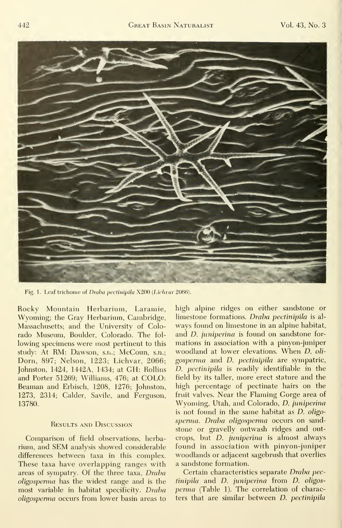

Fig. 1. Leaf trichome of Draba pectinipila X200 (Lichvar 2066).

Rocky Mountain Herbarium, Laramie, Wyoming; the Gray Herbarium, Cambridge, Massachusetts; and the University of Colorado Museum, Boulder, Colorado. The fol lowing specimens were most pertinent to this study: At RM: Dawson, s.n.; McCoun, s.n.; Dorn, 897; Nelson, 1223; Lichvar, 2066; Johnston, 1424, 1442A, 1434; at GH: Rollins and Porter 51269; Williams, 476; at COLO: Beaman and Erbisch, 1208, 1276; Johnston, 1273, 2314; Calder, Savile, and Ferguson, 13780.

#### Results and Discussion

Comparison of field observations, herbarium, and SEM analysis showed considerable differences between taxa in this complex. These taxa have overlapping ranges with areas of sympatry. Of the three taxa, Draba oligosperma has the widest range and is the most variable in habitat specificity. Draba oligospemia occurs from lower basin areas to high alpine ridges on either sandstone or limestone formations. Draba pectinipila is always found on limestone in an alpine habitat, and *D. juniperina* is found on sandstone formations in association with a pinyon-juniper woodland at lower elevations. When D. oli gosperma and D. pectinipila are sympatric, D. pectinipila is readily identifiable in the field by its taller, more erect stature and the high percentage of pectinate hairs on the fruit valves. Near the Flaming Gorge area of Wyoming, Utah, and Colorado, D. juniperina is not found in the same habitat as D. oligosperma. Draba oligosperma occurs on sandstone or gravelly outwash ridges and outcrops, but D. juniperina is almost always found in association with pinyon-juniper woodlands or adjacent sagebrush that overlies a sandstone formation.

Certain characteristics separate Draha pectinipila and D. juniperina from D. oligosperma (Table 1). The correlation of characters that are similar between D. pectinipila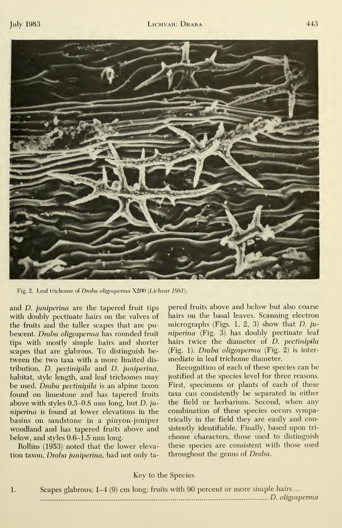

Fig. 2. Leaf trichome of Draba oligosperma X200 (Lichvar 1981).

and *D. juniperina* are the tapered fruit tips with doubly pectinate hairs on the valves of the fruits and the taller scapes that are pubescent. Draba oligosperma has rounded fruit tips with mostly simple hairs and shorter scapes that are glabrous. To distinguish between the two taxa with a more limited dis tribution,  $D$ . pectinipila and  $D$ . juniperina, habitat, style length, and leaf trichomes may be used. Draba pectinipila is an alpine taxon found on limestone and has tapered fruits above with styles  $0.3-0.8$  mm long, but D. juniperina is found at lower elevations in the basins on sandstone in a pinyon-juniper woodland and has tapered fruits above and below, and styles 0.6-1.5 mm long.

Rollins (1953) noted that the lower elevation taxon, Draba juniperina, had not only tapered fruits above and below but also coarse hairs on the basal leaves. Scanning electron micrographs (Figs. 1, 2, 3) show that D.  $ju$ niperina (Fig. 3) has doubly pectinate leaf hairs twice the diameter of D. pectinipila  $(Fig. 1)$ . Draba oligosperma (Fig. 2) is intermediate in leaf trichome diameter.

Recognition of each of these species can be justified at the species level for three reasons. First, specimens or plants of each of these taxa can consistently be separated in either the field or herbarium. Second, when any combination of these species occurs sympatrically in the field they are easily and consistently identifiable. Finally, based upon tri chome characters, those used to distinguish these species are consistent with those used throughout the genus of Draba.

#### Key to the Species